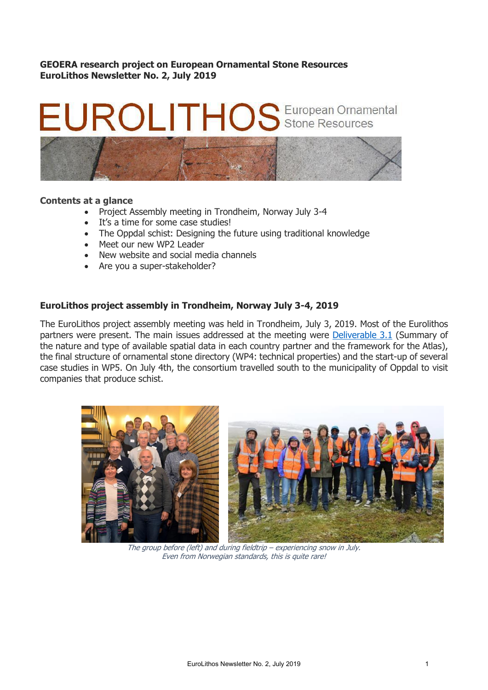**GEOERA research project on European Ornamental Stone Resources EuroLithos Newsletter No. 2, July 2019**

# OS European Ornamental



#### **Contents at a glance**

- Project Assembly meeting in Trondheim, Norway July 3-4
- It's a time for some case studies!
- The Oppdal schist: Designing the future using traditional knowledge
- Meet our new WP2 Leader
- New website and social media channels
- Are you a super-stakeholder?

### **EuroLithos project assembly in Trondheim, Norway July 3-4, 2019**

The EuroLithos project assembly meeting was held in Trondheim, July 3, 2019. Most of the Eurolithos partners were present. The main issues addressed at the meeting were [Deliverable 3.1](https://www.eurolithos.org/deliverables) (Summary of the nature and type of available spatial data in each country partner and the framework for the Atlas), the final structure of ornamental stone directory (WP4: technical properties) and the start-up of several case studies in WP5. On July 4th, the consortium travelled south to the municipality of Oppdal to visit companies that produce schist.



The group before (left) and during fieldtrip – experiencing snow in July. Even from Norwegian standards, this is quite rare!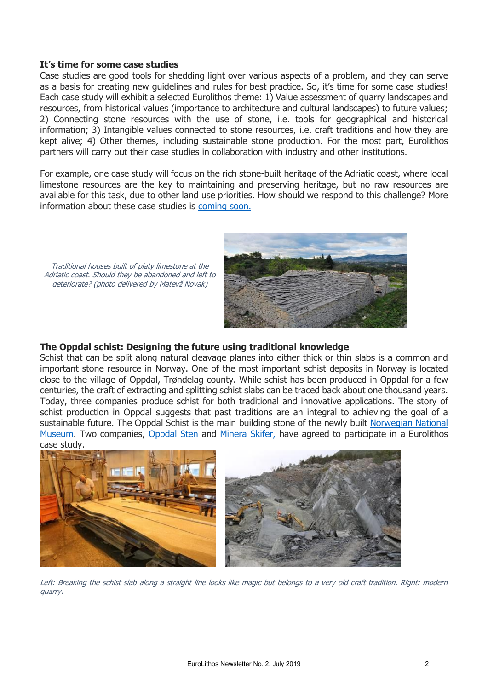#### **It's time for some case studies**

Case studies are good tools for shedding light over various aspects of a problem, and they can serve as a basis for creating new guidelines and rules for best practice. So, it's time for some case studies! Each case study will exhibit a selected Eurolithos theme: 1) Value assessment of quarry landscapes and resources, from historical values (importance to architecture and cultural landscapes) to future values; 2) Connecting stone resources with the use of stone, i.e. tools for geographical and historical information; 3) Intangible values connected to stone resources, i.e. craft traditions and how they are kept alive; 4) Other themes, including sustainable stone production. For the most part, Eurolithos partners will carry out their case studies in collaboration with industry and other institutions.

For example, one case study will focus on the rich stone-built heritage of the Adriatic coast, where local limestone resources are the key to maintaining and preserving heritage, but no raw resources are available for this task, due to other land use priorities. How should we respond to this challenge? More information about these case studies is [coming soon.](https://www.eurolithos.org/copy-of-deliverables)



# deteriorate? (photo delivered by Matevž Novak)

Traditional houses built of platy limestone at the Adriatic coast. Should they be abandoned and left to

### **The Oppdal schist: Designing the future using traditional knowledge**

Schist that can be split along natural cleavage planes into either thick or thin slabs is a common and important stone resource in Norway. One of the most important schist deposits in Norway is located close to the village of Oppdal, Trøndelag county. While schist has been produced in Oppdal for a few centuries, the craft of extracting and splitting schist slabs can be traced back about one thousand years. Today, three companies produce schist for both traditional and innovative applications. The story of schist production in Oppdal suggests that past traditions are an integral to achieving the goal of a sustainable future. The Oppdal Schist is the main building stone of the newly built [Norwegian National](http://nasjonalmuseet.no/en/exhibitions_and_events/events/mellomstasjonen/About+the+new+National+Museum.b7C_wRDOZJ.ips)  [Museum.](http://nasjonalmuseet.no/en/exhibitions_and_events/events/mellomstasjonen/About+the+new+National+Museum.b7C_wRDOZJ.ips) Two companies, [Oppdal Sten](http://www.oppdalsten.no/) and [Minera Skifer,](https://mineraskifer.com/) have agreed to participate in a Eurolithos case study.



Left: Breaking the schist slab along a straight line looks like magic but belongs to a very old craft tradition. Right: modern quarry.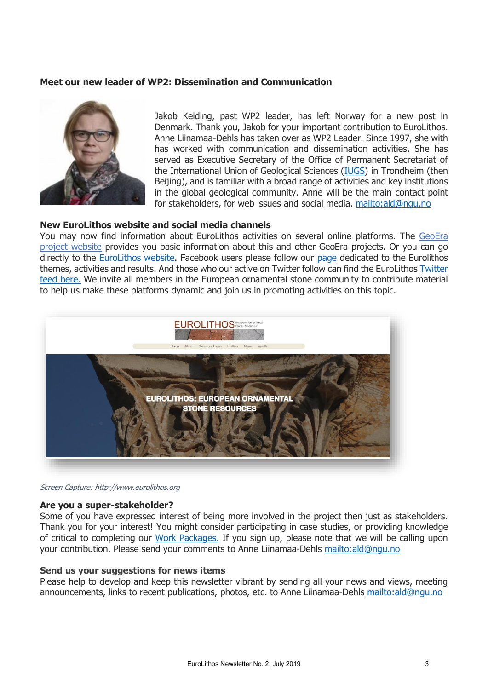## **Meet our new leader of WP2: Dissemination and Communication**



Jakob Keiding, past WP2 leader, has left Norway for a new post in Denmark. Thank you, Jakob for your important contribution to EuroLithos. Anne Liinamaa-Dehls has taken over as WP2 Leader. Since 1997, she with has worked with communication and dissemination activities. She has served as Executive Secretary of the Office of Permanent Secretariat of the International Union of Geological Sciences [\(IUGS\)](http://www.iugs.org/) in Trondheim (then Beijing), and is familiar with a broad range of activities and key institutions in the global geological community. Anne will be the main contact point for stakeholders, for web issues and social media.<mailto:ald@ngu.no>

#### **New EuroLithos website and social media channels**

You may now find information about EuroLithos activities on several online platforms. The [GeoEra](http://geoera.eu/projects/eurolithos1/)  [project website](http://geoera.eu/projects/eurolithos1/) provides you basic information about this and other GeoEra projects. Or you can go directly to the [EuroLithos webs](http://www.eurolithos.org/)ite. Facebook users please follow our [page](https://www.facebook.com/europeanstonestories) dedicated to the Eurolithos themes, activities and results. And those who our active on Twitter follow can find the EuroLithos [Twitter](https://twitter.com/eurolithos)  [feed here.](https://twitter.com/eurolithos) We invite all members in the European ornamental stone community to contribute material to help us make these platforms dynamic and join us in promoting activities on this topic.



Screen Capture: http://www.eurolithos.org

#### **Are you a super-stakeholder?**

Some of you have expressed interest of being more involved in the project then just as stakeholders. Thank you for your interest! You might consider participating in case studies, or providing knowledge of critical to completing our [Work Packages.](https://www.eurolithos.org/blank-page) If you sign up, please note that we will be calling upon your contribution. Please send your comments to Anne Liinamaa-Dehls<mailto:ald@ngu.no>

#### **Send us your suggestions for news items**

Please help to develop and keep this newsletter vibrant by sending all your news and views, meeting announcements, links to recent publications, photos, etc. to Anne Liinamaa-Dehls<mailto:ald@ngu.no>